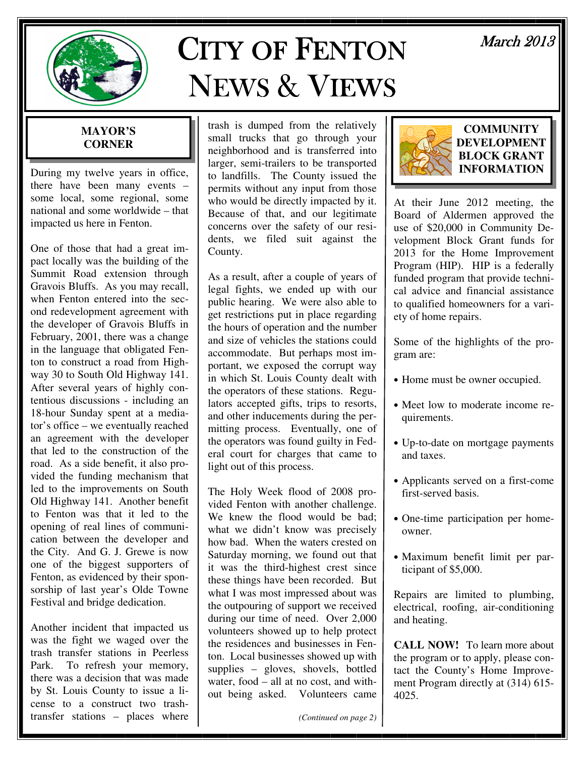

# **CITY OF FENTON** NEWS& VIEWS

# March 2013

### **MAYOR'S CORNER**

During my twelve years in office, there have been many events – some local, some regional, some national and some worldwide – that impacted us here in Fenton.

One of those that had a great impact locally was the building of the Summit Road extension through Gravois Bluffs. As you may recall, when Fenton entered into the second redevelopment agreement with the developer of Gravois Bluffs in February, 2001, there was a change in the language that obligated Fenton to construct a road from Highway 30 to South Old Highway 141. After several years of highly contentious discussions - including an 18-hour Sunday spent at a mediator's office – we eventually reached an agreement with the developer that led to the construction of the road. As a side benefit, it also provided the funding mechanism that led to the improvements on South Old Highway 141. Another benefit to Fenton was that it led to the opening of real lines of communication between the developer and the City. And G. J. Grewe is now one of the biggest supporters of Fenton, as evidenced by their sponsorship of last year's Olde Towne Festival and bridge dedication.

Another incident that impacted us was the fight we waged over the trash transfer stations in Peerless Park. To refresh your memory, there was a decision that was made by St. Louis County to issue a license to a construct two trashtransfer stations – places where

trash is dumped from the relatively small trucks that go through your neighborhood and is transferred into larger, semi-trailers to be transported to landfills. The County issued the permits without any input from those who would be directly impacted by it. Because of that, and our legitimate concerns over the safety of our residents, we filed suit against the County.

As a result, after a couple of years of legal fights, we ended up with our public hearing. We were also able to get restrictions put in place regarding the hours of operation and the number and size of vehicles the stations could accommodate. But perhaps most important, we exposed the corrupt way in which St. Louis County dealt with the operators of these stations. Regulators accepted gifts, trips to resorts, and other inducements during the permitting process. Eventually, one of the operators was found guilty in Federal court for charges that came to light out of this process.

The Holy Week flood of 2008 provided Fenton with another challenge. We knew the flood would be bad; what we didn't know was precisely how bad. When the waters crested on Saturday morning, we found out that it was the third-highest crest since these things have been recorded. But what I was most impressed about was the outpouring of support we received during our time of need. Over 2,000 volunteers showed up to help protect the residences and businesses in Fenton. Local businesses showed up with supplies – gloves, shovels, bottled water, food – all at no cost, and without being asked. Volunteers came

*(Continued on page 2)* 



#### **COMMUNITY DEVELOPMENT BLOCK GRANT INFORMATION**

At their June 2012 meeting, the Board of Aldermen approved the use of \$20,000 in Community Development Block Grant funds for 2013 for the Home Improvement Program (HIP). HIP is a federally funded program that provide technical advice and financial assistance to qualified homeowners for a variety of home repairs.

Some of the highlights of the program are:

- Home must be owner occupied.
- Meet low to moderate income requirements.
- Up-to-date on mortgage payments and taxes.
- Applicants served on a first-come first-served basis.
- One-time participation per homeowner.
- Maximum benefit limit per participant of \$5,000.

Repairs are limited to plumbing, electrical, roofing, air-conditioning and heating.

**CALL NOW!** To learn more about the program or to apply, please contact the County's Home Improvement Program directly at (314) 615- 4025.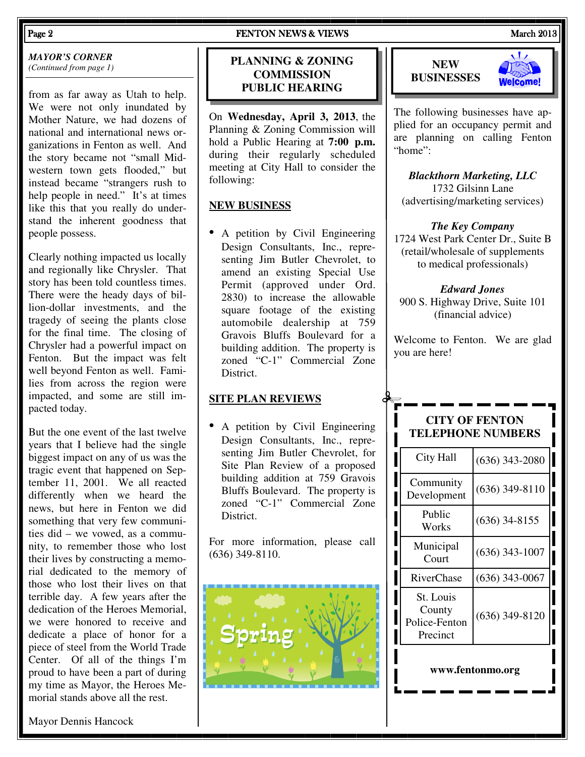*MAYOR'S CORNER (Continued from page 1)* 

from as far away as Utah to help. We were not only inundated by Mother Nature, we had dozens of national and international news organizations in Fenton as well. And the story became not "small Midwestern town gets flooded," but instead became "strangers rush to help people in need." It's at times like this that you really do understand the inherent goodness that people possess.

Clearly nothing impacted us locally and regionally like Chrysler. That story has been told countless times. There were the heady days of billion-dollar investments, and the tragedy of seeing the plants close for the final time. The closing of Chrysler had a powerful impact on Fenton. But the impact was felt well beyond Fenton as well. Families from across the region were impacted, and some are still impacted today.

But the one event of the last twelve years that I believe had the single biggest impact on any of us was the tragic event that happened on September 11, 2001. We all reacted differently when we heard the news, but here in Fenton we did something that very few communities did – we vowed, as a community, to remember those who lost their lives by constructing a memorial dedicated to the memory of those who lost their lives on that terrible day. A few years after the dedication of the Heroes Memorial, we were honored to receive and dedicate a place of honor for a piece of steel from the World Trade Center. Of all of the things I'm proud to have been a part of during my time as Mayor, the Heroes Me-

#### Page 2 **FENTON NEWS & VIEWS** FENTON NEWS **FENTON** NEWS **A** and the March 2013

#### **PLANNING & ZONING COMMISSION PUBLIC HEARING**

On **Wednesday, April 3, 2013**, the Planning & Zoning Commission will hold a Public Hearing at **7:00 p.m.**  during their regularly scheduled meeting at City Hall to consider the following:

#### **NEW BUSINESS**

• A petition by Civil Engineering Design Consultants, Inc., representing Jim Butler Chevrolet, to amend an existing Special Use Permit (approved under Ord. 2830) to increase the allowable square footage of the existing automobile dealership at 759 Gravois Bluffs Boulevard for a building addition. The property is zoned "C-1" Commercial Zone District.

#### **SITE PLAN REVIEWS**

• A petition by Civil Engineering Design Consultants, Inc., representing Jim Butler Chevrolet, for Site Plan Review of a proposed building addition at 759 Gravois Bluffs Boulevard. The property is zoned "C-1" Commercial Zone District.

For more information, please call (636) 349-8110.







The following businesses have applied for an occupancy permit and are planning on calling Fenton "home":

*Blackthorn Marketing, LLC*  1732 Gilsinn Lane (advertising/marketing services)

#### *The Key Company*

1724 West Park Center Dr., Suite B (retail/wholesale of supplements to medical professionals)

*Edward Jones*  900 S. Highway Drive, Suite 101 (financial advice)

Welcome to Fenton. We are glad you are here!

#### **CITY OF FENTON TELEPHONE NUMBERS**

| City Hall                                        | $(636)$ 343-2080 |
|--------------------------------------------------|------------------|
| Community<br>Development                         | $(636)$ 349-8110 |
| Public<br>Works                                  | $(636)$ 34-8155  |
| Municipal<br>Court                               | $(636)$ 343-1007 |
| <b>RiverChase</b>                                | $(636)$ 343-0067 |
| St. Louis<br>County<br>Police-Fenton<br>Precinct | $(636)$ 349-8120 |
|                                                  |                  |

#### **www.fentonmo.org**

morial stands above all the rest.

Mayor Dennis Hancock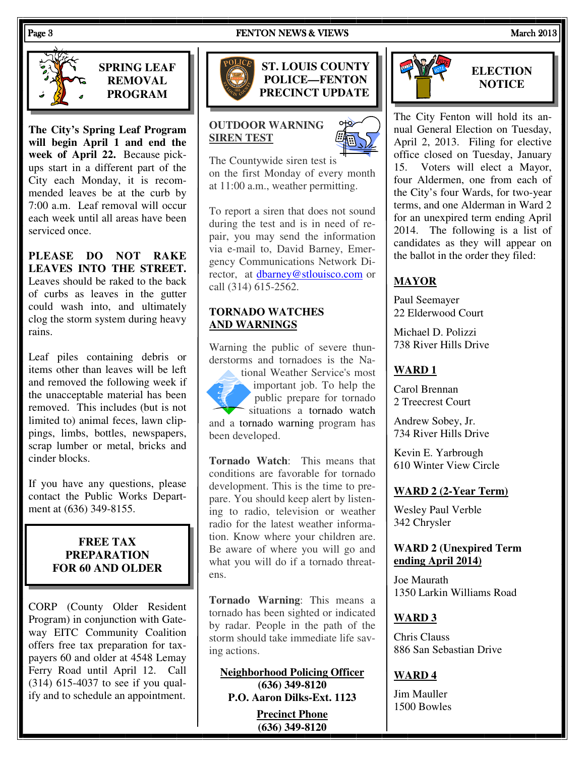#### Page 3 FENTON NEWS & VIEWS FENTON NEWS & VIEWS March 2013



**SPRING LEAF REMOVAL PROGRAM** 

**The City's Spring Leaf Program will begin April 1 and end the week of April 22.** Because pickups start in a different part of the City each Monday, it is recommended leaves be at the curb by 7:00 a.m. Leaf removal will occur each week until all areas have been serviced once.

**PLEASE DO NOT RAKE LEAVES INTO THE STREET.** Leaves should be raked to the back of curbs as leaves in the gutter could wash into, and ultimately clog the storm system during heavy rains.

Leaf piles containing debris or items other than leaves will be left and removed the following week if the unacceptable material has been removed. This includes (but is not limited to) animal feces, lawn clippings, limbs, bottles, newspapers, scrap lumber or metal, bricks and cinder blocks.

If you have any questions, please contact the Public Works Department at (636) 349-8155.

#### **FREE TAX PREPARATION FOR 60 AND OLDER**

CORP (County Older Resident Program) in conjunction with Gateway EITC Community Coalition offers free tax preparation for taxpayers 60 and older at 4548 Lemay Ferry Road until April 12. Call (314) 615-4037 to see if you qualify and to schedule an appointment.



**ST. LOUIS COUNTY POLICE—FENTON PRECINCT UPDATE** 

#### **OUTDOOR WARNING SIREN TEST**

The Countywide siren test is on the first Monday of every month at 11:00 a.m., weather permitting.

To report a siren that does not sound during the test and is in need of repair, you may send the information via e-mail to, David Barney, Emergency Communications Network Director, at dbarney@stlouisco.com or call (314) 615-2562.

#### **TORNADO WATCHES AND WARNINGS**

Warning the public of severe thunderstorms and tornadoes is the Na-

tional Weather Service's most important job. To help the public prepare for tornado situations a tornado watch and a tornado warning program has been developed.

**Tornado Watch**: This means that conditions are favorable for tornado development. This is the time to prepare. You should keep alert by listening to radio, television or weather radio for the latest weather information. Know where your children are. Be aware of where you will go and what you will do if a tornado threatens.

**Tornado Warning**: This means a tornado has been sighted or indicated by radar. People in the path of the storm should take immediate life saving actions.

**Neighborhood Policing Officer (636) 349-8120 P.O. Aaron Dilks-Ext. 1123** 

> **Precinct Phone (636) 349-8120**



### **ELECTION NOTICE**

The City Fenton will hold its annual General Election on Tuesday, April 2, 2013. Filing for elective office closed on Tuesday, January 15. Voters will elect a Mayor, four Aldermen, one from each of the City's four Wards, for two-year terms, and one Alderman in Ward 2 for an unexpired term ending April 2014. The following is a list of candidates as they will appear on the ballot in the order they filed:

### **MAYOR**

Paul Seemayer 22 Elderwood Court

Michael D. Polizzi 738 River Hills Drive

### **WARD 1**

Carol Brennan 2 Treecrest Court

Andrew Sobey, Jr. 734 River Hills Drive

Kevin E. Yarbrough 610 Winter View Circle

#### **WARD 2 (2-Year Term)**

Wesley Paul Verble 342 Chrysler

#### **WARD 2 (Unexpired Term ending April 2014)**

Joe Maurath 1350 Larkin Williams Road

#### **WARD 3**

Chris Clauss 886 San Sebastian Drive

#### **WARD 4**

Jim Mauller 1500 Bowles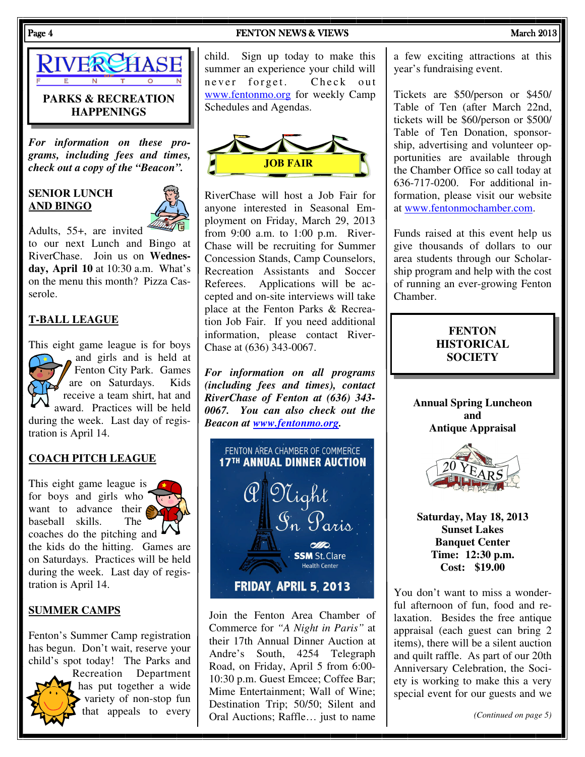

#### **PARKS & RECREATION HAPPENINGS**

*For information on these programs, including fees and times, check out a copy of the "Beacon".* 

#### **SENIOR LUNCH AND BINGO**



Adults, 55+, are invited to our next Lunch and Bingo at RiverChase. Join us on **Wednesday, April 10** at 10:30 a.m. What's on the menu this month? Pizza Casserole.

#### **T-BALL LEAGUE**

This eight game league is for boys and girls and is held at Fenton City Park. Games are on Saturdays. Kids receive a team shirt, hat and award. Practices will be held during the week. Last day of registration is April 14.

#### **COACH PITCH LEAGUE**

This eight game league is for boys and girls who want to advance their baseball skills. The coaches do the pitching and the kids do the hitting. Games are on Saturdays. Practices will be held during the week. Last day of registration is April 14.

#### **SUMMER CAMPS**

Fenton's Summer Camp registration has begun. Don't wait, reserve your child's spot today! The Parks and



Recreation Department has put together a wide variety of non-stop fun that appeals to every

child. Sign up today to make this summer an experience your child will never forget. Check out www.fentonmo.org for weekly Camp Schedules and Agendas.



RiverChase will host a Job Fair for anyone interested in Seasonal Employment on Friday, March 29, 2013 from 9:00 a.m. to 1:00 p.m. River-Chase will be recruiting for Summer Concession Stands, Camp Counselors, Recreation Assistants and Soccer Referees. Applications will be accepted and on-site interviews will take place at the Fenton Parks & Recreation Job Fair. If you need additional information, please contact River-Chase at (636) 343-0067.

*For information on all programs (including fees and times), contact RiverChase of Fenton at (636) 343- 0067. You can also check out the Beacon at www.fentonmo.org.*



Join the Fenton Area Chamber of Commerce for *"A Night in Paris"* at their 17th Annual Dinner Auction at Andre's South, 4254 Telegraph Road, on Friday, April 5 from 6:00- 10:30 p.m. Guest Emcee; Coffee Bar; Mime Entertainment; Wall of Wine; Destination Trip; 50/50; Silent and Oral Auctions; Raffle… just to name a few exciting attractions at this year's fundraising event.

Tickets are \$50/person or \$450/ Table of Ten (after March 22nd, tickets will be \$60/person or \$500/ Table of Ten Donation, sponsorship, advertising and volunteer opportunities are available through the Chamber Office so call today at 636-717-0200. For additional information, please visit our website at www.fentonmochamber.com.

Funds raised at this event help us give thousands of dollars to our area students through our Scholarship program and help with the cost of running an ever-growing Fenton Chamber.

#### **FENTON HISTORICAL SOCIETY**

**Annual Spring Luncheon and Antique Appraisal** 



**Saturday, May 18, 2013 Sunset Lakes Banquet Center Time: 12:30 p.m. Cost: \$19.00** 

You don't want to miss a wonderful afternoon of fun, food and relaxation. Besides the free antique appraisal (each guest can bring 2 items), there will be a silent auction and quilt raffle. As part of our 20th Anniversary Celebration, the Society is working to make this a very special event for our guests and we

*(Continued on page 5)*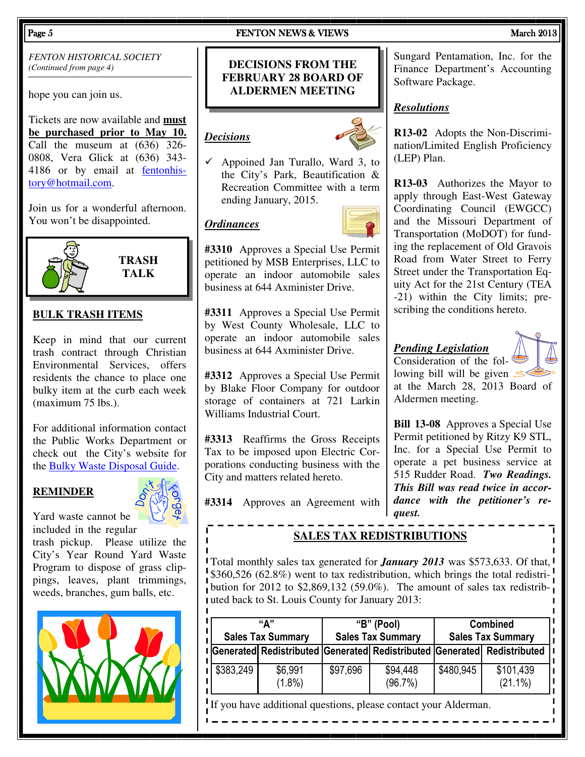*FENTON HISTORICAL SOCIETY (Continued from page 4)* 

hope you can join us.

Tickets are now available and **must be purchased prior to May 10.** Call the museum at (636) 326- 0808, Vera Glick at (636) 343- 4186 or by email at fentonhistory@hotmail.com.

Join us for a wonderful afternoon. You won't be disappointed.



**TRASH TALK** 

#### **BULK TRASH ITEMS**

Keep in mind that our current trash contract through Christian Environmental Services, offers residents the chance to place one bulky item at the curb each week (maximum 75 lbs.).

For additional information contact the Public Works Department or check out the City's website for the Bulky Waste Disposal Guide.

#### **REMINDER**



Yard waste cannot be included in the regular

trash pickup. Please utilize the City's Year Round Yard Waste Program to dispose of grass clippings, leaves, plant trimmings, weeds, branches, gum balls, etc.



#### Page 5 **FENTON NEWS & VIEWS** FENTON NEWS **March 2013**

#### **DECISIONS FROM THE FEBRUARY 28 BOARD OF ALDERMEN MEETING**

#### *Decisions*

 $\checkmark$  Appoined Jan Turallo, Ward 3, to the City's Park, Beautification & Recreation Committee with a term ending January, 2015.

#### *Ordinances*



**#3310** Approves a Special Use Permit petitioned by MSB Enterprises, LLC to operate an indoor automobile sales business at 644 Axminister Drive.

**#3311** Approves a Special Use Permit by West County Wholesale, LLC to operate an indoor automobile sales business at 644 Axminister Drive.

**#3312** Approves a Special Use Permit by Blake Floor Company for outdoor storage of containers at 721 Larkin Williams Industrial Court.

**#3313** Reaffirms the Gross Receipts Tax to be imposed upon Electric Corporations conducting business with the City and matters related hereto.

**#3314** Approves an Agreement with

Sungard Pentamation, Inc. for the Finance Department's Accounting Software Package.

#### *Resolutions*

**R13-02** Adopts the Non-Discrimination/Limited English Proficiency (LEP) Plan.

**R13-03** Authorizes the Mayor to apply through East-West Gateway Coordinating Council (EWGCC) and the Missouri Department of Transportation (MoDOT) for funding the replacement of Old Gravois Road from Water Street to Ferry Street under the Transportation Equity Act for the 21st Century (TEA -21) within the City limits; prescribing the conditions hereto.

#### *Pending Legislation*

Consideration of the following bill will be given  $\leq$ 



at the March 28, 2013 Board of Aldermen meeting.

**Bill 13-08** Approves a Special Use Permit petitioned by Ritzy K9 STL, Inc. for a Special Use Permit to operate a pet business service at 515 Rudder Road. *Two Readings. This Bill was read twice in accordance with the petitioner's request.* 

#### **SALES TAX REDISTRIBUTIONS**

Total monthly sales tax generated for *January 2013* was \$573,633. Of that, \$360,526 (62.8%) went to tax redistribution, which brings the total redistribution for 2012 to \$2,869,132 (59.0%). The amount of sales tax redistributed back to St. Louis County for January 2013:

| "Δ"<br><b>Sales Tax Summary</b> |                      | "B" (Pool)<br><b>Sales Tax Summary</b> |                                                                         | <b>Combined</b><br><b>Sales Tax Summary</b> |                         |
|---------------------------------|----------------------|----------------------------------------|-------------------------------------------------------------------------|---------------------------------------------|-------------------------|
|                                 |                      |                                        | Generated Redistributed Generated Redistributed Generated Redistributed |                                             |                         |
| \$383,249                       | \$6,991<br>$(1.8\%)$ | \$97,696                               | \$94,448<br>(96.7%)                                                     | \$480,945                                   | \$101,439<br>$(21.1\%)$ |

If you have additional questions, please contact your Alderman.